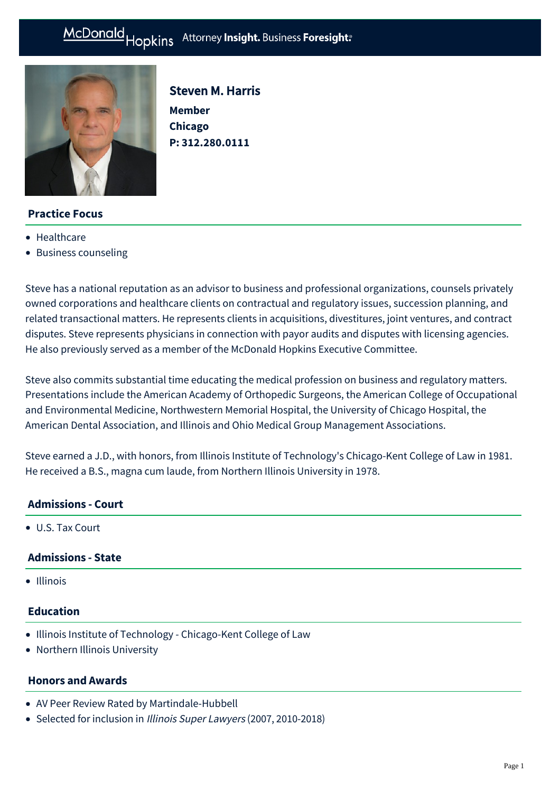#### Hopkins Attorney Insight. Business Foresight: McDonald



Steven M. Harris **Member Chicago P: [312.280.0111](tel:312.280.0111)**

# **Practice Focus**

- [Healthcare](https://www.mcdonaldhopkins.com/Expertise/Healthcare)
- [Business counseling](https://www.mcdonaldhopkins.com/Expertise/Business-counseling)

Steve has a national reputation as an advisor to business and professional organizations, counsels privately owned corporations and healthcare clients on contractual and regulatory issues, succession planning, and related transactional matters. He represents clients in acquisitions, divestitures, joint ventures, and contract disputes. Steve represents physicians in connection with payor audits and disputes with licensing agencies. He also previously served as a member of the McDonald Hopkins Executive Committee.

Steve also commits substantial time educating the medical profession on business and regulatory matters. Presentations include the American Academy of Orthopedic Surgeons, the American College of Occupational and Environmental Medicine, Northwestern Memorial Hospital, the University of Chicago Hospital, the American Dental Association, and Illinois and Ohio Medical Group Management Associations.

Steve earned a J.D., with honors, from Illinois Institute of Technology's Chicago-Kent College of Law in 1981. He received a B.S., magna cum laude, from Northern Illinois University in 1978.

## **Admissions - Court**

U.S. Tax Court

## **Admissions - State**

• Illinois

## **Education**

- Illinois Institute of Technology Chicago-Kent College of Law
- Northern Illinois University

## **Honors and Awards**

- AV Peer Review Rated by [Martindale-Hubbell](http://www.martindale.com/Steven-M-Harris/5053703-lawyer.htm)
- Selected for inclusion in [Illinois Super Lawyers](http://www.superlawyers.com/illinois/lawyer/Steven-M-Harris/fbf4a34a-4640-4abe-9ee4-f87366d993fa.html) (2007, 2010-2018)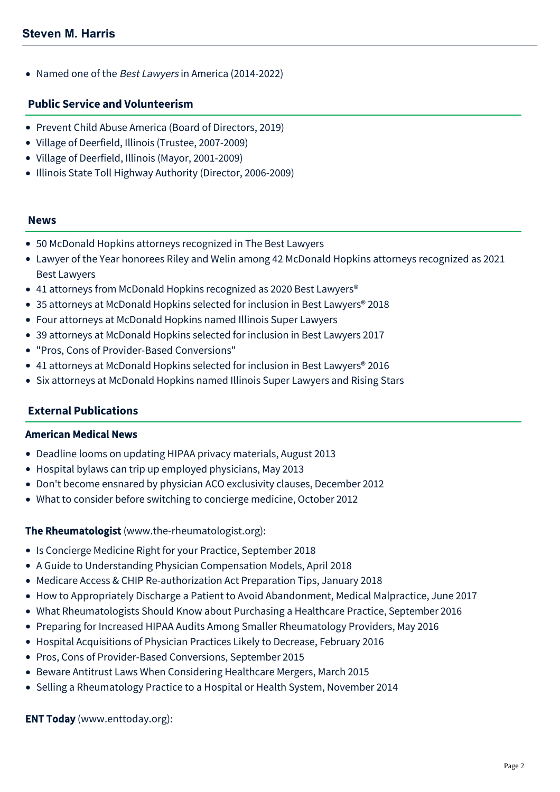• Named one of the Best Lawyers in America (2014-2022)

### **Public Service and Volunteerism**

- Prevent Child Abuse America (Board of Directors, 2019)
- Village of Deerfield, Illinois (Trustee, 2007-2009)
- Village of Deerfield, Illinois (Mayor, 2001-2009)
- Illinois State Toll Highway Authority (Director, 2006-2009)

#### **News**

- [50 McDonald Hopkins attorneys recognized in The Best Lawyers](https://www.mcdonaldhopkins.com/Insights/August-2021/50-McDonald-Hopkins-attorneys-recognized-in-The-Be)
- [Lawyer of the Year honorees Riley and Welin among 42 McDonald Hopkins attorneys recognized as 2021](https://www.mcdonaldhopkins.com/Insights/August-2020/Lawyer-of-the-Year-honorees-Riley-and-Welin-among) Best Lawyers
- 41 attorneys from McDonald Hopkins recognized as 2020 Best Lawyers<sup>®</sup>
- [35 attorneys at McDonald Hopkins selected for inclusion in Best Lawyers® 2018](https://www.mcdonaldhopkins.com/Insights/August-2017/35-attorneys-at-McDonald-Hopkins-selected-for-incl)
- [Four attorneys at McDonald Hopkins named Illinois Super Lawyers](https://www.mcdonaldhopkins.com/Insights/January-2017/Four-attorneys-at-McDonald-Hopkins-named-Illinois)
- [39 attorneys at McDonald Hopkins selected for inclusion in Best Lawyers 2017](https://www.mcdonaldhopkins.com/Insights/August-2016/39-attorneys-at-McDonald-Hopkins-selected-for-incl)
- ["Pros, Cons of Provider-Based Conversions"](https://www.mcdonaldhopkins.com/Insights/September-2015/Pros-Cons-of-ProviderBased-Conversions-Steven-Harr)
- [41 attorneys at McDonald Hopkins selected for inclusion in Best Lawyers® 2016](https://www.mcdonaldhopkins.com/Insights/August-2015/33-attorneys-at-McDonald-Hopkins-selected-for-incl)
- [Six attorneys at McDonald Hopkins named Illinois Super Lawyers and Rising Stars](https://www.mcdonaldhopkins.com/Insights/January-2015/Six-attorneys-at-McDonald-Hopkins-named-Illinois-S)

## **External Publications**

### American Medical News

- [Deadline looms on updating HIPAA privacy materials](http://www.amednews.com/article/20130826/business/130829983/5/), August 2013
- [Hospital bylaws can trip up employed physicians](http://www.amednews.com/article/20130513/business/130519968/5/), May 2013
- [Don't become ensnared by physician ACO exclusivity clauses](http://www.amednews.com/article/20121224/business/121229995/5/), December 2012
- [What to consider before switching to concierge medicine](http://www.ama-assn.org/amednews/2012/10/08/bicb1008.htm), October 2012

## The Rheumatologist (www.the-rheumatologist.org):

- Is Concierge Medicine Right for your Practice, September 2018
- A Guide to Understanding Physician Compensation Models, April 2018
- Medicare Access & CHIP Re-authorization Act Preparation Tips, January 2018
- [How to Appropriately Discharge a Patient to Avoid Abandonment, Medical Malpractice](http://www.the-rheumatologist.org/article/appropriately-discharge-patient-avoid-abandonment-medical-malpractice/), June 2017
- [What Rheumatologists Should Know about Purchasing a Healthcare Practice](http://www.the-rheumatologist.org/article/rheumatologists-know-purchasing-healthcare-practice/), September 2016
- [Preparing for Increased HIPAA Audits Among Smaller Rheumatology Providers,](http://www.the-rheumatologist.org/article/preparing-increased-hipaa-audits-among-smaller-rheumatology-providers/) May 2016
- [Hospital Acquisitions of Physician Practices Likely to Decrease](http://www.the-rheumatologist.org/article/hospital-acquisitions-of-physician-practices-likely-to-decrease/), February 2016
- [Pros, Cons of Provider-Based Conversions, September 2015](http://www.the-rheumatologist.org/article/pros-cons-of-provider-based-conversions/)
- [Beware Antitrust Laws When Considering Healthcare Mergers,](http://www.the-rheumatologist.org/article/beware-antitrust-laws-when-considering-healthcare-mergers/) March 2015
- [Selling a Rheumatology Practice to a Hospital or Health System](http://www.the-rheumatologist.org/article/selling-a-rheumatology-practice-to-a-hospital-or-health-system/), November 2014

ENT Today ([www.enttoday.org](http://www.enttoday.org)):